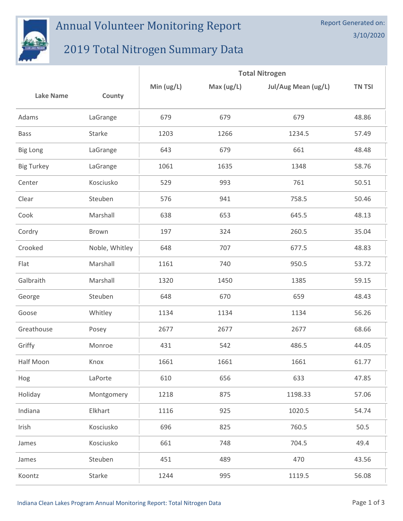

## Annual Volunteer Monitoring Report

## 2019 Total Nitrogen Summary Data

|                   |                | <b>Total Nitrogen</b> |            |                     |               |  |
|-------------------|----------------|-----------------------|------------|---------------------|---------------|--|
| <b>Lake Name</b>  | County         | Min $(ug/L)$          | Max (ug/L) | Jul/Aug Mean (ug/L) | <b>TN TSI</b> |  |
| Adams             | LaGrange       | 679                   | 679        | 679                 | 48.86         |  |
| <b>Bass</b>       | Starke         | 1203                  | 1266       | 1234.5              | 57.49         |  |
| <b>Big Long</b>   | LaGrange       | 643                   | 679        | 661                 | 48.48         |  |
| <b>Big Turkey</b> | LaGrange       | 1061                  | 1635       | 1348                | 58.76         |  |
| Center            | Kosciusko      | 529                   | 993        | 761                 | 50.51         |  |
| Clear             | Steuben        | 576                   | 941        | 758.5               | 50.46         |  |
| Cook              | Marshall       | 638                   | 653        | 645.5               | 48.13         |  |
| Cordry            | Brown          | 197                   | 324        | 260.5               | 35.04         |  |
| Crooked           | Noble, Whitley | 648                   | 707        | 677.5               | 48.83         |  |
| Flat              | Marshall       | 1161                  | 740        | 950.5               | 53.72         |  |
| Galbraith         | Marshall       | 1320                  | 1450       | 1385                | 59.15         |  |
| George            | Steuben        | 648                   | 670        | 659                 | 48.43         |  |
| Goose             | Whitley        | 1134                  | 1134       | 1134                | 56.26         |  |
| Greathouse        | Posey          | 2677                  | 2677       | 2677                | 68.66         |  |
| Griffy            | Monroe         | 431                   | 542        | 486.5               | 44.05         |  |
| Half Moon         | Knox           | 1661                  | 1661       | 1661                | 61.77         |  |
| Hog               | LaPorte        | 610                   | 656        | 633                 | 47.85         |  |
| Holiday           | Montgomery     | 1218                  | 875        | 1198.33             | 57.06         |  |
| Indiana           | Elkhart        | 1116                  | 925        | 1020.5              | 54.74         |  |
| Irish             | Kosciusko      | 696                   | 825        | 760.5               | 50.5          |  |
| James             | Kosciusko      | 661                   | 748        | 704.5               | 49.4          |  |
| James             | Steuben        | 451                   | 489        | 470                 | 43.56         |  |
| Koontz            | Starke         | 1244                  | 995        | 1119.5              | 56.08         |  |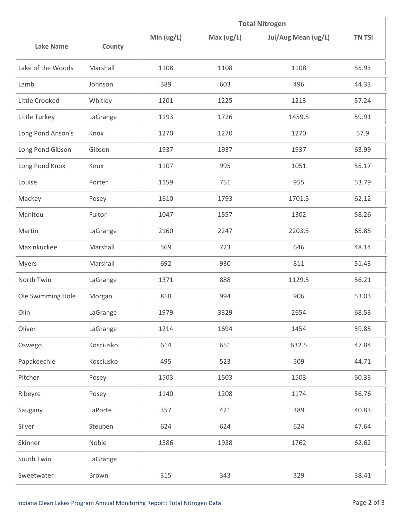|                   |           | <b>Total Nitrogen</b> |           |                     |               |
|-------------------|-----------|-----------------------|-----------|---------------------|---------------|
| <b>Lake Name</b>  | County    | Min $(ug/L)$          | Max(ug/L) | Jul/Aug Mean (ug/L) | <b>TN TSI</b> |
| Lake of the Woods | Marshall  | 1108                  | 1108      | 1108                | 55.93         |
| Lamb              | Johnson   | 389                   | 603       | 496                 | 44.33         |
| Little Crooked    | Whitley   | 1201                  | 1225      | 1213                | 57.24         |
| Little Turkey     | LaGrange  | 1193                  | 1726      | 1459.5              | 59.91         |
| Long Pond Anson's | Knox      | 1270                  | 1270      | 1270                | 57.9          |
| Long Pond Gibson  | Gibson    | 1937                  | 1937      | 1937                | 63.99         |
| Long Pond Knox    | Knox      | 1107                  | 995       | 1051                | 55.17         |
| Louise            | Porter    | 1159                  | 751       | 955                 | 53.79         |
| Mackey            | Posey     | 1610                  | 1793      | 1701.5              | 62.12         |
| Manitou           | Fulton    | 1047                  | 1557      | 1302                | 58.26         |
| Martin            | LaGrange  | 2160                  | 2247      | 2203.5              | 65.85         |
| Maxinkuckee       | Marshall  | 569                   | 723       | 646                 | 48.14         |
| <b>Myers</b>      | Marshall  | 692                   | 930       | 811                 | 51.43         |
| North Twin        | LaGrange  | 1371                  | 888       | 1129.5              | 56.21         |
| Ole Swimming Hole | Morgan    | 818                   | 994       | 906                 | 53.03         |
| Olin              | LaGrange  | 1979                  | 3329      | 2654                | 68.53         |
| Oliver            | LaGrange  | 1214                  | 1694      | 1454                | 59.85         |
| Oswego            | Kosciusko | 614                   | 651       | 632.5               | 47.84         |
| Papakeechie       | Kosciusko | 495                   | 523       | 509                 | 44.71         |
| Pitcher           | Posey     | 1503                  | 1503      | 1503                | 60.33         |
| Ribeyre           | Posey     | 1140                  | 1208      | 1174                | 56.76         |
| Saugany           | LaPorte   | 357                   | 421       | 389                 | 40.83         |
| Silver            | Steuben   | 624                   | 624       | 624                 | 47.64         |
| Skinner           | Noble     | 1586                  | 1938      | 1762                | 62.62         |
| South Twin        | LaGrange  |                       |           |                     |               |
| Sweetwater        | Brown     | 315                   | 343       | 329                 | 38.41         |